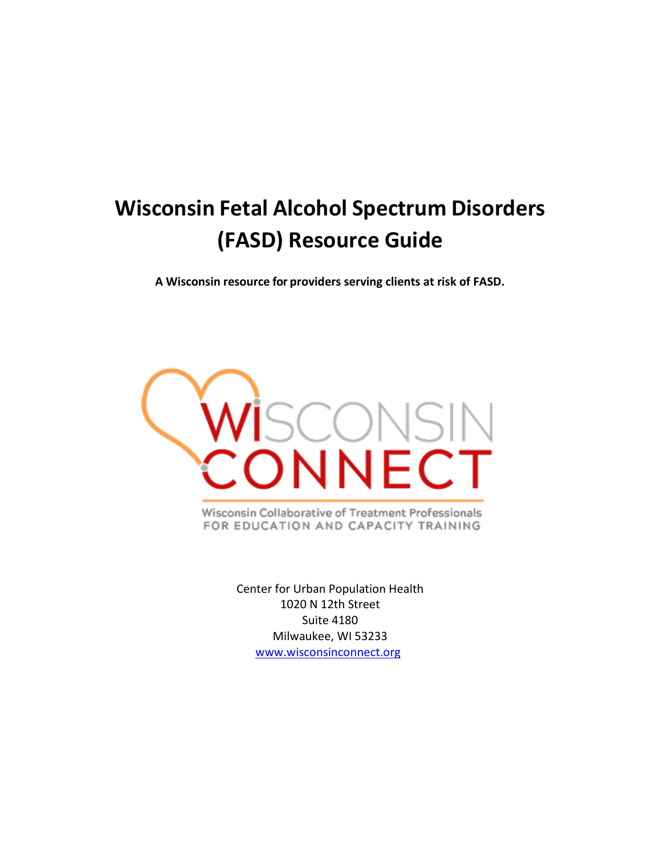# **Wisconsin Fetal Alcohol Spectrum Disorders (FASD) Resource Guide**

**A Wisconsin resource for providers serving clients at risk of FASD.**



Wisconsin Collaborative of Treatment Professionals FOR EDUCATION AND CAPACITY TRAINING

> Center for Urban Population Health 1020 N 12th Street Suite 4180 Milwaukee, WI 53233 [www.wisconsinconnect.org](http://www.wisconsinconnect.org/)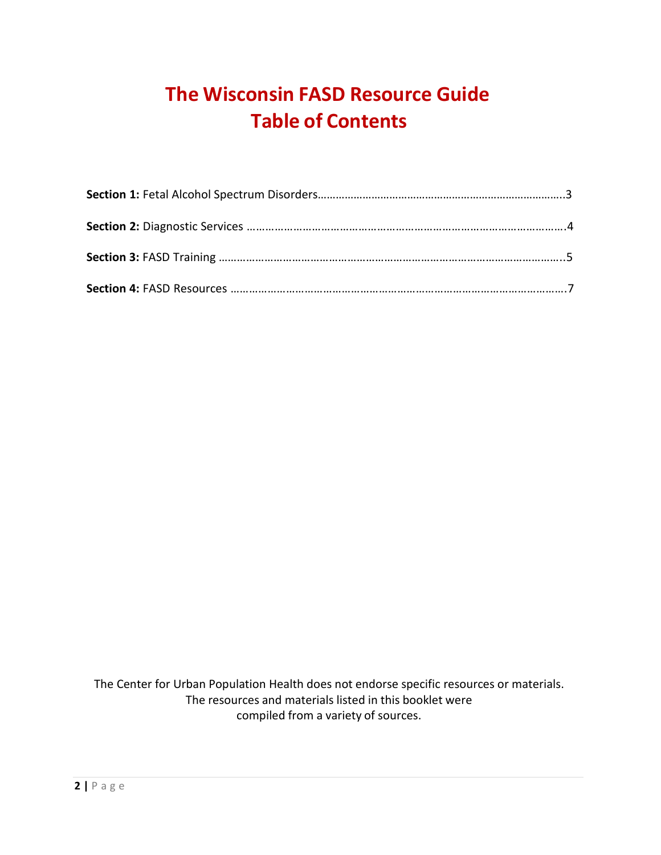## **The Wisconsin FASD Resource Guide Table of Contents**

The Center for Urban Population Health does not endorse specific resources or materials. The resources and materials listed in this booklet were compiled from a variety of sources.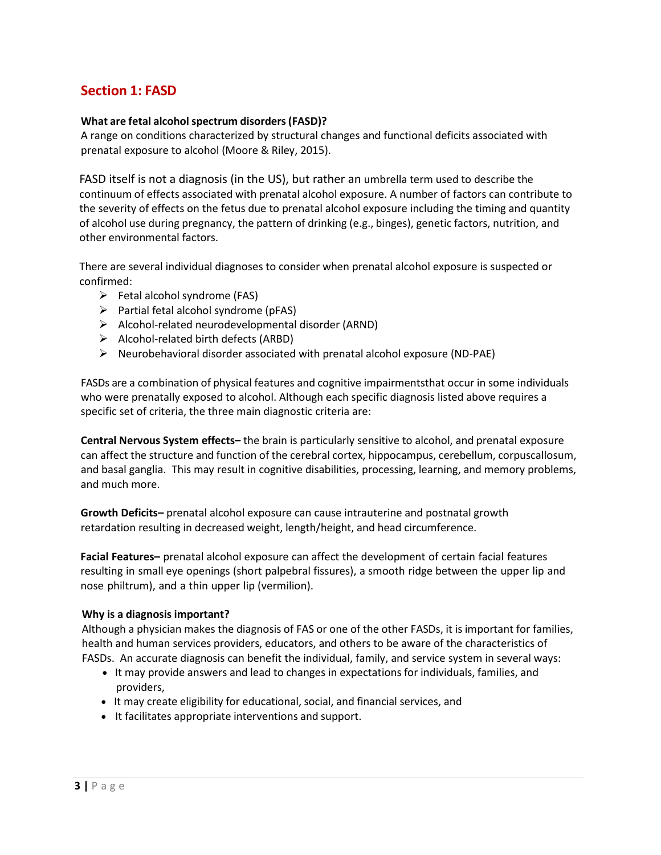## **Section 1: FASD**

#### **What are fetal alcoholspectrum disorders(FASD)?**

A range on conditions characterized by structural changes and functional deficits associated with prenatal exposure to alcohol (Moore & Riley, 2015).

FASD itself is not a diagnosis (in the US), but rather an umbrella term used to describe the continuum of effects associated with prenatal alcohol exposure. A number of factors can contribute to the severity of effects on the fetus due to prenatal alcohol exposure including the timing and quantity of alcohol use during pregnancy, the pattern of drinking (e.g., binges), genetic factors, nutrition, and other environmental factors.

There are several individual diagnoses to consider when prenatal alcohol exposure is suspected or confirmed:

- $\triangleright$  Fetal alcohol syndrome (FAS)
- $\triangleright$  Partial fetal alcohol syndrome (pFAS)
- $\triangleright$  Alcohol-related neurodevelopmental disorder (ARND)
- $\triangleright$  Alcohol-related birth defects (ARBD)
- $\triangleright$  Neurobehavioral disorder associated with prenatal alcohol exposure (ND-PAE)

FASDs are a combination of physical features and cognitive impairmentsthat occur in some individuals who were prenatally exposed to alcohol. Although each specific diagnosis listed above requires a specific set of criteria, the three main diagnostic criteria are:

**Central Nervous System effects–** the brain is particularly sensitive to alcohol, and prenatal exposure can affect the structure and function of the cerebral cortex, hippocampus, cerebellum, corpuscallosum, and basal ganglia. This may result in cognitive disabilities, processing, learning, and memory problems, and much more.

**Growth Deficits–** prenatal alcohol exposure can cause intrauterine and postnatal growth retardation resulting in decreased weight, length/height, and head circumference.

**Facial Features–** prenatal alcohol exposure can affect the development of certain facial features resulting in small eye openings (short palpebral fissures), a smooth ridge between the upper lip and nose philtrum), and a thin upper lip (vermilion).

#### **Why is a diagnosis important?**

Although a physician makes the diagnosis of FAS or one of the other FASDs, it is important for families, health and human services providers, educators, and others to be aware of the characteristics of FASDs. An accurate diagnosis can benefit the individual, family, and service system in several ways:

- It may provide answers and lead to changes in expectations for individuals, families, and providers,
- It may create eligibility for educational, social, and financial services, and
- It facilitates appropriate interventions and support.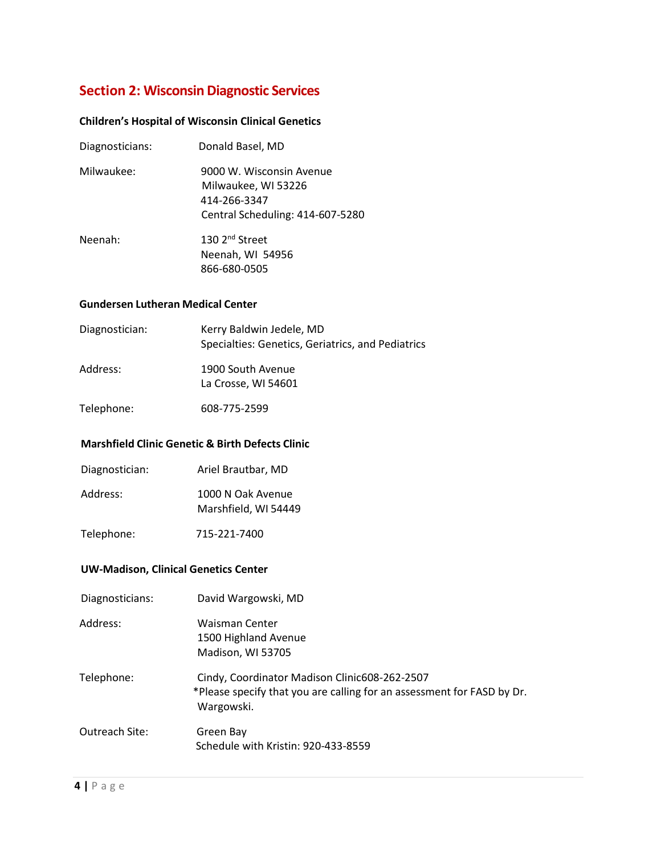## **Section 2: Wisconsin Diagnostic Services**

#### **Children's Hospital of Wisconsin Clinical Genetics**

| Diagnosticians: | Donald Basel, MD                                                                                    |
|-----------------|-----------------------------------------------------------------------------------------------------|
| Milwaukee:      | 9000 W. Wisconsin Avenue<br>Milwaukee, WI 53226<br>414-266-3347<br>Central Scheduling: 414-607-5280 |
| Neenah:         | 130 2 <sup>nd</sup> Street<br>Neenah, WI 54956<br>866-680-0505                                      |

#### **Gundersen Lutheran Medical Center**

| Diagnostician: | Kerry Baldwin Jedele, MD<br>Specialties: Genetics, Geriatrics, and Pediatrics |
|----------------|-------------------------------------------------------------------------------|
| Address:       | 1900 South Avenue<br>La Crosse, WI 54601                                      |

Telephone: 608-775-2599

#### **Marshfield Clinic Genetic & Birth Defects Clinic**

- Diagnostician: Ariel Brautbar, MD
- Address: 1000 N Oak Avenue Marshfield, WI 54449
- Telephone: 715-221-7400

#### **UW-Madison, Clinical Genetics Center**

Diagnosticians: David Wargowski, MD Address: Waisman Center 1500 Highland Avenue Madison, WI 53705 Telephone: Cindy, Coordinator Madison Clinic608-262-2507 \*Please specify that you are calling for an assessment for FASD by Dr. Wargowski. Outreach Site: Green Bay Schedule with Kristin: 920-433-8559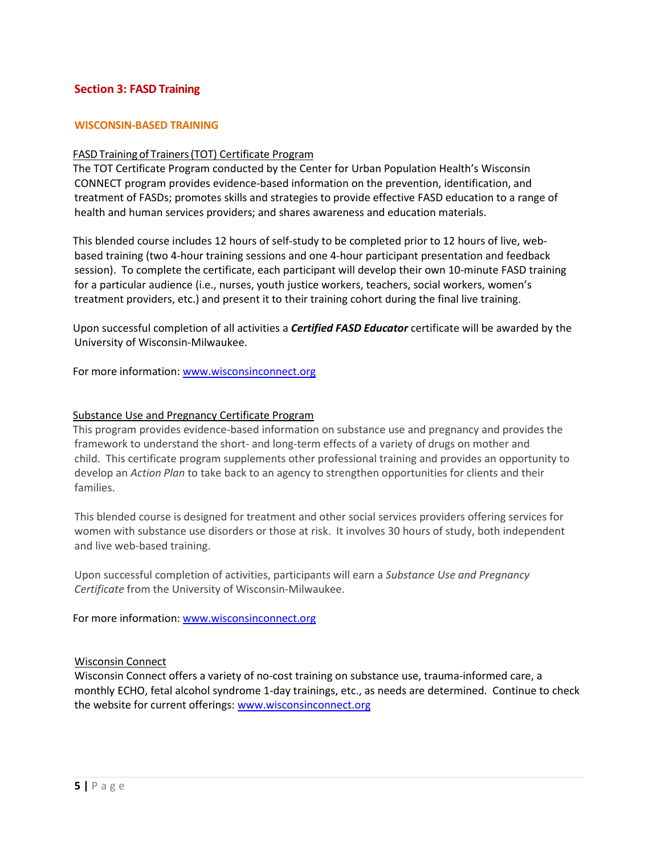#### **Section 3: FASD Training**

#### **WISCONSIN-BASED TRAINING**

#### FASDTraining of Trainers(TOT) Certificate Program

The TOT Certificate Program conducted by the Center for Urban Population Health's Wisconsin CONNECT program provides evidence-based information on the prevention, identification, and treatment of FASDs; promotes skills and strategies to provide effective FASD education to a range of health and human services providers; and shares awareness and education materials.

This blended course includes 12 hours of self-study to be completed prior to 12 hours of live, webbased training (two 4-hour training sessions and one 4-hour participant presentation and feedback session). To complete the certificate, each participant will develop their own 10-minute FASD training for a particular audience (i.e., nurses, youth justice workers, teachers, social workers, women's treatment providers, etc.) and present it to their training cohort during the final live training.

Upon successful completion of all activities a *Certified FASD Educator* certificate will be awarded by the University of Wisconsin-Milwaukee.

For more information: [www.wisconsinconnect.org](http://www.wisconsinconnect.org/)

#### Substance Use and Pregnancy Certificate Program

This program provides evidence-based information on substance use and pregnancy and provides the framework to understand the short- and long-term effects of a variety of drugs on mother and child. This certificate program supplements other professional training and provides an opportunity to develop an *Action Plan* to take back to an agency to strengthen opportunities for clients and their families.

This blended course is designed for treatment and other social services providers offering services for women with substance use disorders or those at risk. It involves 30 hours of study, both independent and live web-based training.

Upon successful completion of activities, participants will earn a *Substance Use and Pregnancy Certificate* from the University of Wisconsin-Milwaukee.

For more information[: www.wisconsinconnect.org](http://www.wisconsinconnect.org/)

#### Wisconsin Connect

Wisconsin Connect offers a variety of no-cost training on substance use, trauma-informed care, a monthly ECHO, fetal alcohol syndrome 1-day trainings, etc., as needs are determined. Continue to check the website for current offerings: [www.wisconsinconnect.org](http://www.wisconsinconnect.org/)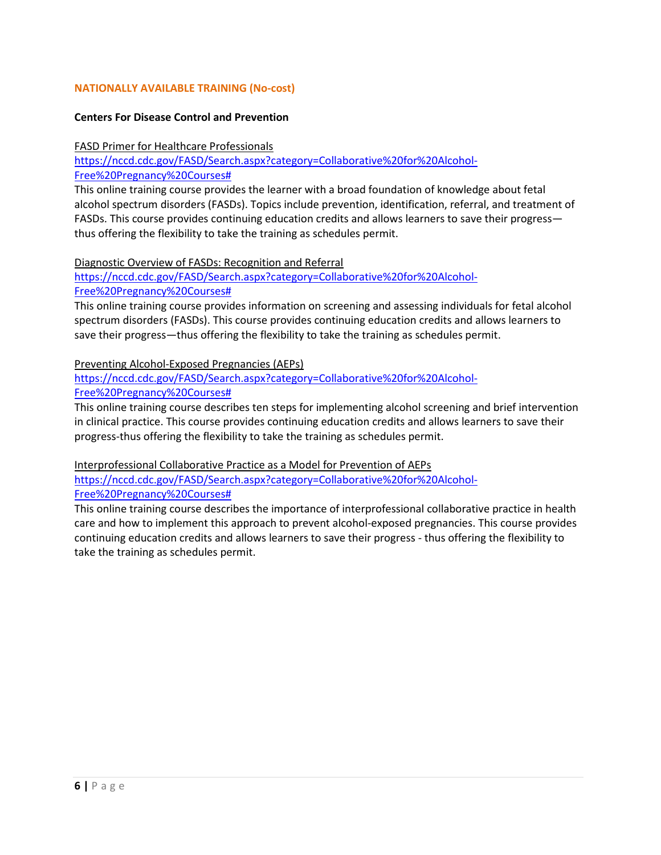#### **NATIONALLY AVAILABLE TRAINING (No-cost)**

#### **Centers For Disease Control and Prevention**

#### FASD Primer for Healthcare Professionals

[https://nccd.cdc.gov/FASD/Search.aspx?category=Collaborative%20for%20Alcohol-](https://nccd.cdc.gov/FASD/Search.aspx?category=Collaborative%20for%20Alcohol-Free%20Pregnancy%20Courses)[Free%20Pregnancy%20Courses#](https://nccd.cdc.gov/FASD/Search.aspx?category=Collaborative%20for%20Alcohol-Free%20Pregnancy%20Courses)

This online training course provides the learner with a broad foundation of knowledge about fetal alcohol spectrum disorders (FASDs). Topics include prevention, identification, referral, and treatment of FASDs. This course provides continuing education credits and allows learners to save their progress thus offering the flexibility to take the training as schedules permit.

Diagnostic Overview of FASDs: Recognition and Referral

[https://nccd.cdc.gov/FASD/Search.aspx?category=Collaborative%20for%20Alcohol-](https://nccd.cdc.gov/FASD/Search.aspx?category=Collaborative%20for%20Alcohol-Free%20Pregnancy%20Courses)[Free%20Pregnancy%20Courses#](https://nccd.cdc.gov/FASD/Search.aspx?category=Collaborative%20for%20Alcohol-Free%20Pregnancy%20Courses)

This online training course provides information on screening and assessing individuals for fetal alcohol spectrum disorders (FASDs). This course provides continuing education credits and allows learners to save their progress—thus offering the flexibility to take the training as schedules permit.

#### Preventing Alcohol-Exposed Pregnancies (AEPs)

#### [https://nccd.cdc.gov/FASD/Search.aspx?category=Collaborative%20for%20Alcohol-](https://nccd.cdc.gov/FASD/Search.aspx?category=Collaborative%20for%20Alcohol-Free%20Pregnancy%20Courses)[Free%20Pregnancy%20Courses#](https://nccd.cdc.gov/FASD/Search.aspx?category=Collaborative%20for%20Alcohol-Free%20Pregnancy%20Courses)

This online training course describes ten steps for implementing alcohol screening and brief intervention in clinical practice. This course provides continuing education credits and allows learners to save their progress-thus offering the flexibility to take the training as schedules permit.

Interprofessional Collaborative Practice as a Model for Prevention of AEPs

[https://nccd.cdc.gov/FASD/Search.aspx?category=Collaborative%20for%20Alcohol-](https://nccd.cdc.gov/FASD/Search.aspx?category=Collaborative%20for%20Alcohol-Free%20Pregnancy%20Courses)[Free%20Pregnancy%20Courses#](https://nccd.cdc.gov/FASD/Search.aspx?category=Collaborative%20for%20Alcohol-Free%20Pregnancy%20Courses)

This online training course describes the importance of interprofessional collaborative practice in health care and how to implement this approach to prevent alcohol-exposed pregnancies. This course provides continuing education credits and allows learners to save their progress - thus offering the flexibility to take the training as schedules permit.